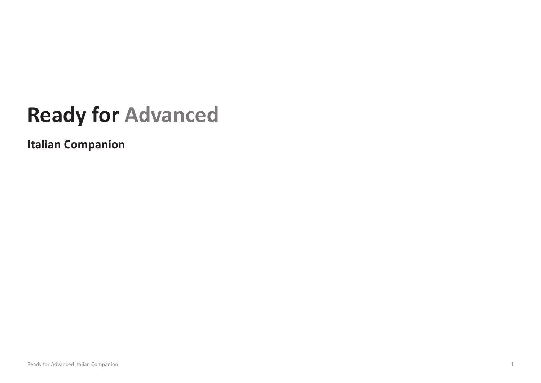## **Ready for Advanced**

**Italian Companion**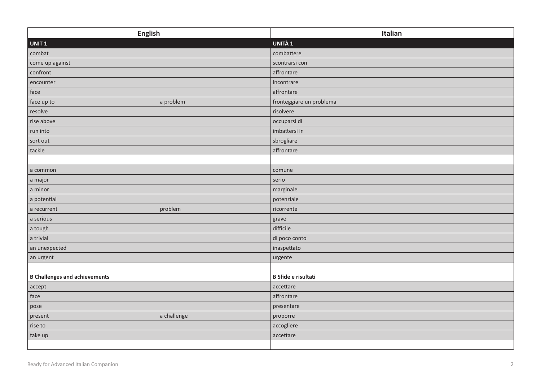| <b>English</b>                       | Italian                    |
|--------------------------------------|----------------------------|
| UNIT <sub>1</sub>                    | UNITÀ 1                    |
| combat                               | combattere                 |
| come up against                      | scontrarsi con             |
| confront                             | affrontare                 |
| encounter                            | incontrare                 |
| face                                 | affrontare                 |
| face up to<br>a problem              | fronteggiare un problema   |
| resolve                              | risolvere                  |
| rise above                           | occuparsi di               |
| run into                             | imbattersi in              |
| sort out                             | sbrogliare                 |
| tackle                               | affrontare                 |
|                                      |                            |
| a common                             | comune                     |
| a major                              | serio                      |
| a minor                              | marginale                  |
| a potential                          | potenziale                 |
| problem<br>a recurrent               | ricorrente                 |
| a serious                            | grave                      |
| a tough                              | difficile                  |
| a trivial                            | di poco conto              |
| an unexpected                        | inaspettato                |
| an urgent                            | urgente                    |
|                                      |                            |
| <b>B Challenges and achievements</b> | <b>B</b> Sfide e risultati |
| accept                               | accettare                  |
| face                                 | affrontare                 |
| pose                                 | presentare                 |
| a challenge<br>present               | proporre                   |
| rise to                              | accogliere                 |
| take up                              | accettare                  |
|                                      |                            |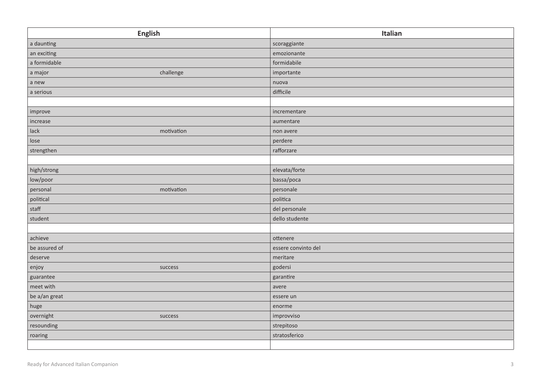| <b>English</b>         | Italian             |
|------------------------|---------------------|
| a daunting             | scoraggiante        |
| an exciting            | emozionante         |
| a formidable           | formidabile         |
| challenge<br>a major   | importante          |
| a new                  | nuova               |
| a serious              | difficile           |
|                        |                     |
| improve                | incrementare        |
| increase               | aumentare           |
| lack<br>motivation     | non avere           |
| lose                   | perdere             |
| strengthen             | rafforzare          |
|                        |                     |
| high/strong            | elevata/forte       |
| low/poor               | bassa/poca          |
| motivation<br>personal | personale           |
| political              | politica            |
| $\mathsf{staff}$       | del personale       |
| student                | dello studente      |
|                        |                     |
| achieve                | ottenere            |
| be assured of          | essere convinto del |
| deserve                | meritare            |
| enjoy<br>success       | godersi             |
| guarantee              | garantire           |
| meet with              | avere               |
| be a/an great          | essere un           |
| huge                   | enorme              |
| overnight<br>success   | improvviso          |
| resounding             | strepitoso          |
| roaring                | stratosferico       |
|                        |                     |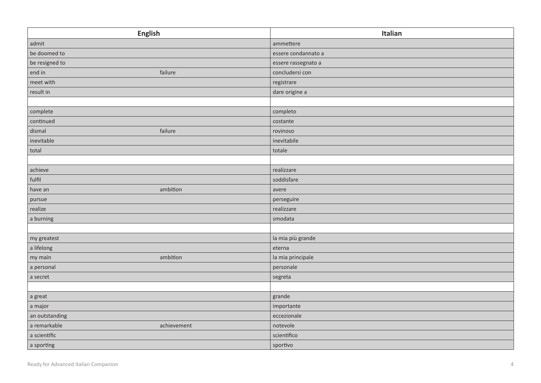| <b>English</b>              | Italian             |
|-----------------------------|---------------------|
| admit                       | ammettere           |
| be doomed to                | essere condannato a |
| be resigned to              | essere rassegnato a |
| failure<br>end in           | concludersi con     |
| meet with                   | registrare          |
| result in                   | dare origine a      |
|                             |                     |
| complete                    | completo            |
| continued                   | costante            |
| dismal<br>failure           | rovinoso            |
| inevitable                  | inevitabile         |
| total                       | totale              |
|                             |                     |
| achieve                     | realizzare          |
| fulfil                      | soddisfare          |
| ambition<br>have an         | avere               |
| pursue                      | perseguire          |
| realize                     | realizzare          |
| a burning                   | smodata             |
|                             |                     |
| my greatest                 | la mia più grande   |
| a lifelong                  | eterna              |
| ambition<br>my main         | la mia principale   |
| a personal                  | personale           |
| a secret                    | segreta             |
|                             |                     |
| a great                     | grande              |
| a major                     | importante          |
| an outstanding              | eccezionale         |
| a remarkable<br>achievement | notevole            |
| a scientific                | scientifico         |
| a sporting                  | sportivo            |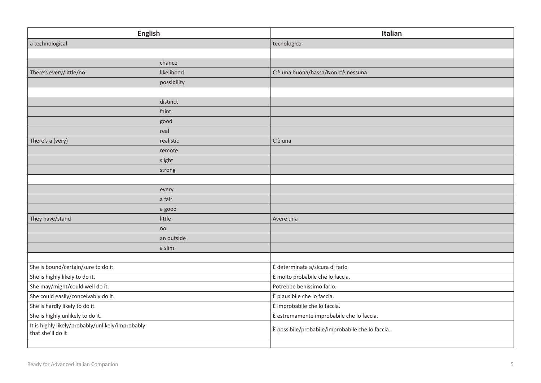| <b>English</b>                                                        |             | Italian                                          |
|-----------------------------------------------------------------------|-------------|--------------------------------------------------|
| a technological                                                       |             | tecnologico                                      |
|                                                                       |             |                                                  |
|                                                                       | chance      |                                                  |
| There's every/little/no                                               | likelihood  | C'è una buona/bassa/Non c'è nessuna              |
|                                                                       | possibility |                                                  |
|                                                                       |             |                                                  |
|                                                                       | distinct    |                                                  |
|                                                                       | faint       |                                                  |
|                                                                       | good        |                                                  |
|                                                                       | real        |                                                  |
| There's a (very)                                                      | realistic   | C'è una                                          |
|                                                                       | remote      |                                                  |
|                                                                       | slight      |                                                  |
|                                                                       | strong      |                                                  |
|                                                                       |             |                                                  |
|                                                                       | every       |                                                  |
|                                                                       | a fair      |                                                  |
|                                                                       | a good      |                                                  |
| They have/stand                                                       | little      | Avere una                                        |
|                                                                       | no          |                                                  |
|                                                                       | an outside  |                                                  |
|                                                                       | a slim      |                                                  |
|                                                                       |             |                                                  |
| She is bound/certain/sure to do it                                    |             | È determinata a/sicura di farlo                  |
| She is highly likely to do it.                                        |             | È molto probabile che lo faccia.                 |
| She may/might/could well do it.                                       |             | Potrebbe benissimo farlo.                        |
| She could easily/conceivably do it.                                   |             | È plausibile che lo faccia.                      |
| She is hardly likely to do it.                                        |             | È improbabile che lo faccia.                     |
| She is highly unlikely to do it.                                      |             | È estremamente improbabile che lo faccia.        |
| It is highly likely/probably/unlikely/improbably<br>that she'll do it |             | È possibile/probabile/improbabile che lo faccia. |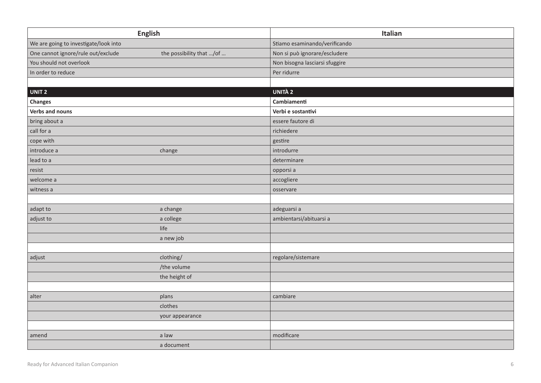| <b>English</b>                        |                          | Italian                        |
|---------------------------------------|--------------------------|--------------------------------|
| We are going to investigate/look into |                          | Stiamo esaminando/verificando  |
| One cannot ignore/rule out/exclude    | the possibility that /of | Non si può ignorare/escludere  |
| You should not overlook               |                          | Non bisogna lasciarsi sfuggire |
| In order to reduce                    |                          | Per ridurre                    |
|                                       |                          |                                |
| UNIT <sub>2</sub>                     |                          | <b>UNITÀ 2</b>                 |
| Changes                               |                          | Cambiamenti                    |
| Verbs and nouns                       |                          | Verbi e sostantivi             |
| bring about a                         |                          | essere fautore di              |
| call for a                            |                          | richiedere                     |
| cope with                             |                          | gestire                        |
| introduce a                           | change                   | introdurre                     |
| lead to a                             |                          | determinare                    |
| resist                                |                          | opporsi a                      |
| welcome a                             |                          | accogliere                     |
| witness a                             |                          | osservare                      |
|                                       |                          |                                |
| adapt to                              | a change                 | adeguarsi a                    |
| adjust to                             | a college                | ambientarsi/abituarsi a        |
|                                       | life                     |                                |
|                                       | a new job                |                                |
|                                       |                          |                                |
| adjust                                | clothing/                | regolare/sistemare             |
|                                       | /the volume              |                                |
|                                       | the height of            |                                |
|                                       |                          |                                |
| alter                                 | plans                    | cambiare                       |
|                                       | clothes                  |                                |
|                                       | your appearance          |                                |
|                                       |                          |                                |
| amend                                 | a law                    | modificare                     |
|                                       | a document               |                                |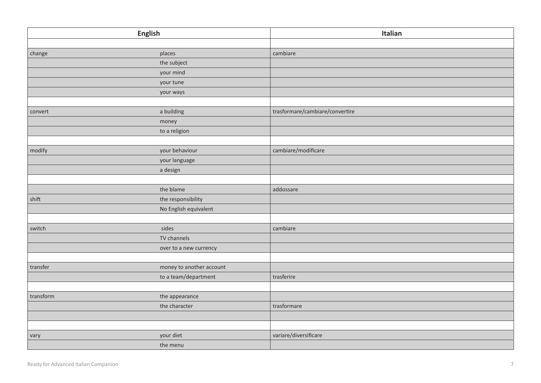|           | <b>English</b>           | Italian                         |
|-----------|--------------------------|---------------------------------|
|           |                          |                                 |
| change    | places                   | cambiare                        |
|           | the subject              |                                 |
|           | your mind                |                                 |
|           | your tune                |                                 |
|           | your ways                |                                 |
|           |                          |                                 |
| convert   | a building               | trasformare/cambiare/convertire |
|           | money                    |                                 |
|           | to a religion            |                                 |
|           |                          |                                 |
| modify    | your behaviour           | cambiare/modificare             |
|           | your language            |                                 |
|           | a design                 |                                 |
|           |                          |                                 |
|           | the blame                | addossare                       |
| shift     | the responsibility       |                                 |
|           | No English equivalent    |                                 |
|           |                          |                                 |
| switch    | sides                    | cambiare                        |
|           | TV channels              |                                 |
|           | over to a new currency   |                                 |
|           |                          |                                 |
| transfer  | money to another account |                                 |
|           | to a team/department     | trasferire                      |
|           |                          |                                 |
| transform | the appearance           |                                 |
|           | the character            | trasformare                     |
|           |                          |                                 |
|           |                          |                                 |
| vary      | your diet                | variare/diversificare           |
|           | the menu                 |                                 |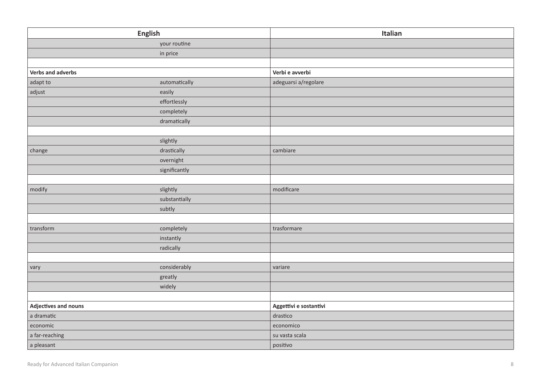| English              |               | Italian                |
|----------------------|---------------|------------------------|
|                      | your routine  |                        |
|                      | in price      |                        |
|                      |               |                        |
| Verbs and adverbs    |               | Verbi e avverbi        |
| adapt to             | automatically | adeguarsi a/regolare   |
| adjust               | easily        |                        |
|                      | effortlessly  |                        |
|                      | completely    |                        |
|                      | dramatically  |                        |
|                      |               |                        |
|                      | slightly      |                        |
| change               | drastically   | cambiare               |
|                      | overnight     |                        |
|                      | significantly |                        |
|                      |               |                        |
| modify               | slightly      | modificare             |
|                      | substantially |                        |
|                      | subtly        |                        |
|                      |               |                        |
| transform            | completely    | trasformare            |
|                      | instantly     |                        |
|                      | radically     |                        |
|                      |               |                        |
| vary                 | considerably  | variare                |
|                      | greatly       |                        |
|                      | widely        |                        |
|                      |               |                        |
| Adjectives and nouns |               | Aggettivi e sostantivi |
| a dramatic           |               | drastico               |
| economic             |               | economico              |
| a far-reaching       |               | su vasta scala         |
| a pleasant           |               | positivo               |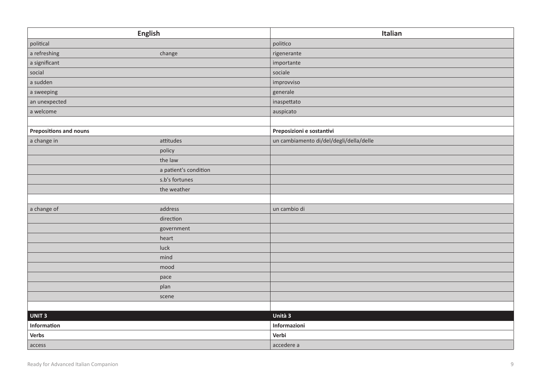| <b>English</b>                |                       | Italian                                 |
|-------------------------------|-----------------------|-----------------------------------------|
| political                     |                       | politico                                |
| a refreshing                  | change                | rigenerante                             |
| a significant                 |                       | importante                              |
| social                        |                       | sociale                                 |
| a sudden                      |                       | improvviso                              |
| a sweeping                    |                       | generale                                |
| an unexpected                 |                       | inaspettato                             |
| a welcome                     |                       | auspicato                               |
|                               |                       |                                         |
| <b>Prepositions and nouns</b> |                       | Preposizioni e sostantivi               |
| a change in                   | attitudes             | un cambiamento di/del/degli/della/delle |
|                               | policy                |                                         |
|                               | the law               |                                         |
|                               | a patient's condition |                                         |
|                               | s.b's fortunes        |                                         |
|                               | the weather           |                                         |
|                               |                       |                                         |
| a change of                   | address               | un cambio di                            |
|                               | direction             |                                         |
|                               | government            |                                         |
|                               | heart                 |                                         |
|                               | luck                  |                                         |
|                               | mind                  |                                         |
|                               | mood                  |                                         |
|                               | pace                  |                                         |
|                               | plan                  |                                         |
|                               | scene                 |                                         |
|                               |                       |                                         |
| UNIT <sub>3</sub>             |                       | Unità 3                                 |
| Information                   |                       | Informazioni                            |
| Verbs                         |                       | Verbi                                   |
| access                        |                       | accedere a                              |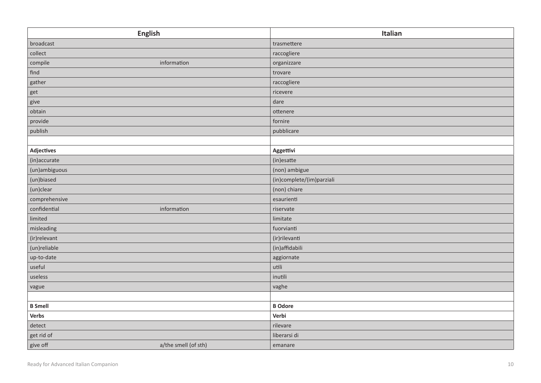| <b>English</b>                   | Italian                   |
|----------------------------------|---------------------------|
| broadcast                        | trasmettere               |
| collect                          | raccogliere               |
| compile<br>information           | organizzare               |
| find                             | trovare                   |
| gather                           | raccogliere               |
| get                              | ricevere                  |
| give                             | dare                      |
| obtain                           | ottenere                  |
| provide                          | fornire                   |
| publish                          | pubblicare                |
|                                  |                           |
| <b>Adjectives</b>                | Aggettivi                 |
| (in)accurate                     | (in)esatte                |
| (un)ambiguous                    | (non) ambigue             |
| (un)biased                       | (in)complete/(im)parziali |
| (un)clear                        | (non) chiare              |
| comprehensive                    | esaurienti                |
| confidential<br>information      | riservate                 |
| limited                          | limitate                  |
| misleading                       | fuorvianti                |
| (ir)relevant                     | (ir) rilevanti            |
| (un)reliable                     | (in)affidabili            |
| up-to-date                       | aggiornate                |
| useful                           | utili                     |
| useless                          | inutili                   |
| vague                            | vaghe                     |
|                                  |                           |
| <b>B</b> Smell                   | <b>B</b> Odore            |
| Verbs                            | Verbi                     |
| detect                           | rilevare                  |
| get rid of                       | liberarsi di              |
| give off<br>a/the smell (of sth) | emanare                   |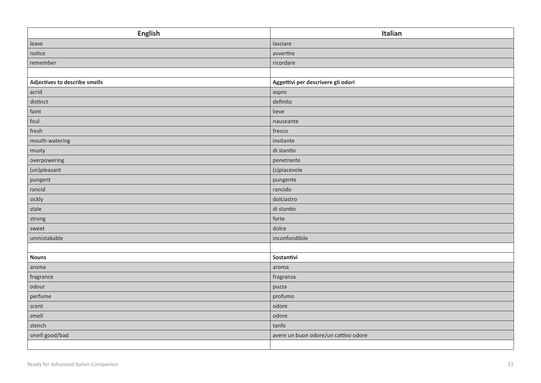| <b>English</b>                | Italian                              |
|-------------------------------|--------------------------------------|
| leave                         | lasciare                             |
| notice                        | avvertire                            |
| remember                      | ricordare                            |
|                               |                                      |
| Adjectives to describe smells | Aggettivi per descrivere gli odori   |
| acrid                         | aspro                                |
| distinct                      | definito                             |
| faint                         | lieve                                |
| foul                          | nauseante                            |
| fresh                         | fresco                               |
| mouth-watering                | invitante                            |
| musty                         | di stantio                           |
| overpowering                  | penetrante                           |
| (un)pleasant                  | (s)piacevole                         |
| pungent                       | pungente                             |
| rancid                        | rancido                              |
| sickly                        | dolciastro                           |
| stale                         | di stantio                           |
| strong                        | forte                                |
| sweet                         | dolce                                |
| unmistakable                  | inconfondibile                       |
|                               |                                      |
| <b>Nouns</b>                  | Sostantivi                           |
| aroma                         | aroma                                |
| fragrance                     | fragranza                            |
| odour                         | puzza                                |
| perfume                       | profumo                              |
| scent                         | odore                                |
| smell                         | odore                                |
| stench                        | tanfo                                |
| smell good/bad                | avere un buon odore/un cattivo odore |
|                               |                                      |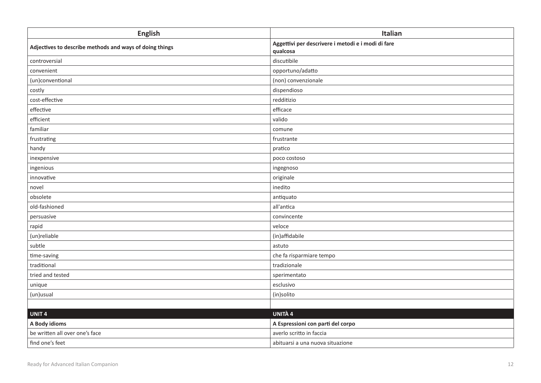| <b>English</b>                                          | Italian                                                        |
|---------------------------------------------------------|----------------------------------------------------------------|
| Adjectives to describe methods and ways of doing things | Aggettivi per descrivere i metodi e i modi di fare<br>qualcosa |
| controversial                                           | discutibile                                                    |
| convenient                                              | opportuno/adatto                                               |
| (un)conventional                                        | (non) convenzionale                                            |
| costly                                                  | dispendioso                                                    |
| cost-effective                                          | redditizio                                                     |
| effective                                               | efficace                                                       |
| efficient                                               | valido                                                         |
| familiar                                                | comune                                                         |
| frustrating                                             | frustrante                                                     |
| handy                                                   | pratico                                                        |
| inexpensive                                             | poco costoso                                                   |
| ingenious                                               | ingegnoso                                                      |
| innovative                                              | originale                                                      |
| novel                                                   | inedito                                                        |
| obsolete                                                | antiquato                                                      |
| old-fashioned                                           | all'antica                                                     |
| persuasive                                              | convincente                                                    |
| rapid                                                   | veloce                                                         |
| (un)reliable                                            | (in)affidabile                                                 |
| subtle                                                  | astuto                                                         |
| time-saving                                             | che fa risparmiare tempo                                       |
| traditional                                             | tradizionale                                                   |
| tried and tested                                        | sperimentato                                                   |
| unique                                                  | esclusivo                                                      |
| (un)usual                                               | (in)solito                                                     |
|                                                         |                                                                |
| UNIT <sub>4</sub>                                       | <b>UNITÀ 4</b>                                                 |
| A Body idioms                                           | A Espressioni con parti del corpo                              |
| be written all over one's face                          | averlo scritto in faccia                                       |
| find one's feet                                         | abituarsi a una nuova situazione                               |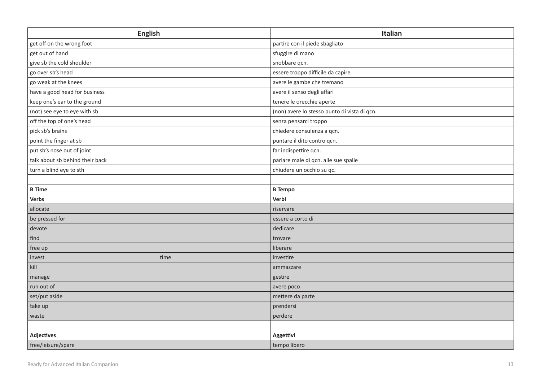| <b>English</b>                  | Italian                                      |
|---------------------------------|----------------------------------------------|
| get off on the wrong foot       | partire con il piede sbagliato               |
| get out of hand                 | sfuggire di mano                             |
| give sb the cold shoulder       | snobbare qcn.                                |
| go over sb's head               | essere troppo difficile da capire            |
| go weak at the knees            | avere le gambe che tremano                   |
| have a good head for business   | avere il senso degli affari                  |
| keep one's ear to the ground    | tenere le orecchie aperte                    |
| (not) see eye to eye with sb    | (non) avere lo stesso punto di vista di qcn. |
| off the top of one's head       | senza pensarci troppo                        |
| pick sb's brains                | chiedere consulenza a qcn.                   |
| point the finger at sb          | puntare il dito contro qcn.                  |
| put sb's nose out of joint      | far indispettire qcn.                        |
| talk about sb behind their back | parlare male di qcn. alle sue spalle         |
| turn a blind eye to sth         | chiudere un occhio su qc.                    |
|                                 |                                              |
| <b>B</b> Time                   | <b>B</b> Tempo                               |
| Verbs                           | Verbi                                        |
| allocate                        | riservare                                    |
| be pressed for                  | essere a corto di                            |
| devote                          | dedicare                                     |
| find                            | trovare                                      |
| free up                         | liberare                                     |
| time<br>invest                  | investire                                    |
| kill                            | ammazzare                                    |
| manage                          | gestire                                      |
| run out of                      | avere poco                                   |
| set/put aside                   | mettere da parte                             |
| take up                         | prendersi                                    |
| waste                           | perdere                                      |
|                                 |                                              |
| <b>Adjectives</b>               | Aggettivi                                    |
| free/leisure/spare              | tempo libero                                 |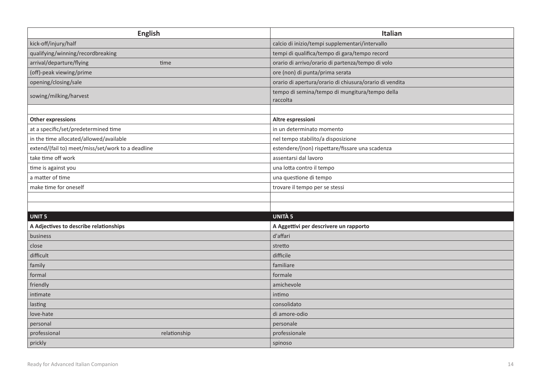| <b>English</b>                                    | Italian                                                    |
|---------------------------------------------------|------------------------------------------------------------|
| kick-off/injury/half                              | calcio di inizio/tempi supplementari/intervallo            |
| qualifying/winning/recordbreaking                 | tempi di qualifica/tempo di gara/tempo record              |
| arrival/departure/flying<br>time                  | orario di arrivo/orario di partenza/tempo di volo          |
| (off)-peak viewing/prime                          | ore (non) di punta/prima serata                            |
| opening/closing/sale                              | orario di apertura/orario di chiusura/orario di vendita    |
| sowing/milking/harvest                            | tempo di semina/tempo di mungitura/tempo della<br>raccolta |
|                                                   |                                                            |
| <b>Other expressions</b>                          | Altre espressioni                                          |
| at a specific/set/predetermined time              | in un determinato momento                                  |
| in the time allocated/allowed/available           | nel tempo stabilito/a disposizione                         |
| extend/(fail to) meet/miss/set/work to a deadline | estendere/(non) rispettare/fissare una scadenza            |
| take time off work                                | assentarsi dal lavoro                                      |
| time is against you                               | una lotta contro il tempo                                  |
| a matter of time                                  | una questione di tempo                                     |
| make time for oneself                             | trovare il tempo per se stessi                             |
|                                                   |                                                            |
|                                                   |                                                            |
| <b>UNIT 5</b>                                     | <b>UNITÀ 5</b>                                             |
| A Adjectives to describe relationships            | A Aggettivi per descrivere un rapporto                     |
| business                                          | d'affari                                                   |
| close                                             | stretto                                                    |
| difficult                                         | difficile                                                  |
| family                                            | familiare                                                  |
| formal                                            | formale                                                    |
| friendly                                          | amichevole                                                 |
| intimate                                          | intimo                                                     |
| lasting                                           | consolidato                                                |
| love-hate                                         | di amore-odio                                              |
| personal                                          | personale                                                  |
| professional<br>relationship                      | professionale                                              |
| prickly                                           | spinoso                                                    |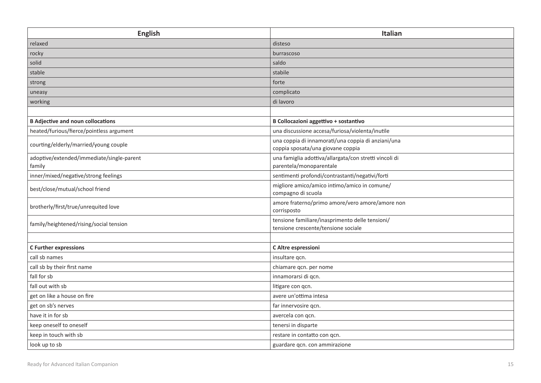| <b>English</b>                                      | Italian                                                                                 |
|-----------------------------------------------------|-----------------------------------------------------------------------------------------|
| relaxed                                             | disteso                                                                                 |
| rocky                                               | burrascoso                                                                              |
| solid                                               | saldo                                                                                   |
| stable                                              | stabile                                                                                 |
| strong                                              | forte                                                                                   |
| uneasy                                              | complicato                                                                              |
| working                                             | di lavoro                                                                               |
|                                                     |                                                                                         |
| <b>B Adjective and noun collocations</b>            | B Collocazioni aggettivo + sostantivo                                                   |
| heated/furious/fierce/pointless argument            | una discussione accesa/furiosa/violenta/inutile                                         |
| courting/elderly/married/young couple               | una coppia di innamorati/una coppia di anziani/una<br>coppia sposata/una giovane coppia |
| adoptive/extended/immediate/single-parent<br>family | una famiglia adottiva/allargata/con stretti vincoli di<br>parentela/monoparentale       |
| inner/mixed/negative/strong feelings                | sentimenti profondi/contrastanti/negativi/forti                                         |
| best/close/mutual/school friend                     | migliore amico/amico intimo/amico in comune/<br>compagno di scuola                      |
| brotherly/first/true/unrequited love                | amore fraterno/primo amore/vero amore/amore non<br>corrisposto                          |
| family/heightened/rising/social tension             | tensione familiare/inasprimento delle tensioni/<br>tensione crescente/tensione sociale  |
|                                                     |                                                                                         |
| <b>C Further expressions</b>                        | C Altre espressioni                                                                     |
| call sb names                                       | insultare qcn.                                                                          |
| call sb by their first name                         | chiamare qcn. per nome                                                                  |
| fall for sb                                         | innamorarsi di qcn.                                                                     |
| fall out with sb                                    | litigare con qcn.                                                                       |
| get on like a house on fire                         | avere un'ottima intesa                                                                  |
| get on sb's nerves                                  | far innervosire qcn.                                                                    |
| have it in for sb                                   | avercela con qcn.                                                                       |
| keep oneself to oneself                             | tenersi in disparte                                                                     |
| keep in touch with sb                               | restare in contatto con qcn.                                                            |
| look up to sb                                       | guardare qcn. con ammirazione                                                           |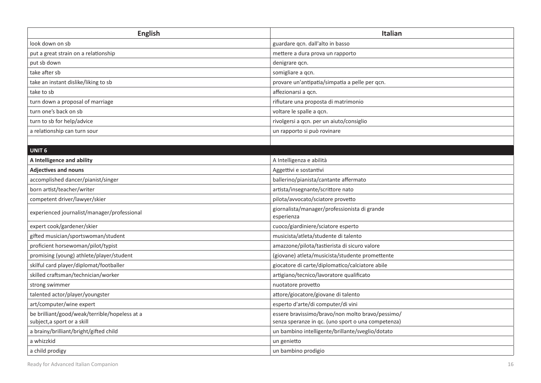| <b>English</b>                                | <b>Italian</b>                                             |
|-----------------------------------------------|------------------------------------------------------------|
| look down on sb                               | guardare qcn. dall'alto in basso                           |
| put a great strain on a relationship          | mettere a dura prova un rapporto                           |
| put sb down                                   | denigrare qcn.                                             |
| take after sb                                 | somigliare a qcn.                                          |
| take an instant dislike/liking to sb          | provare un'antipatia/simpatia a pelle per qcn.             |
| take to sb                                    | affezionarsi a qcn.                                        |
| turn down a proposal of marriage              | rifiutare una proposta di matrimonio                       |
| turn one's back on sb                         | voltare le spalle a qcn.                                   |
| turn to sb for help/advice                    | rivolgersi a qcn. per un aiuto/consiglio                   |
| a relationship can turn sour                  | un rapporto și può rovinare                                |
|                                               |                                                            |
| <b>UNIT 6</b>                                 |                                                            |
| A Intelligence and ability                    | A Intelligenza e abilità                                   |
| <b>Adjectives and nouns</b>                   | Aggettivi e sostantivi                                     |
| accomplished dancer/pianist/singer            | ballerino/pianista/cantante affermato                      |
| born artist/teacher/writer                    | artista/insegnante/scrittore nato                          |
| competent driver/lawyer/skier                 | pilota/avvocato/sciatore provetto                          |
| experienced journalist/manager/professional   | giornalista/manager/professionista di grande<br>esperienza |
| expert cook/gardener/skier                    | cuoco/giardiniere/sciatore esperto                         |
| gifted musician/sportswoman/student           | musicista/atleta/studente di talento                       |
| proficient horsewoman/pilot/typist            | amazzone/pilota/tastierista di sicuro valore               |
| promising (young) athlete/player/student      | (giovane) atleta/musicista/studente promettente            |
| skilful card player/diplomat/footballer       | giocatore di carte/diplomatico/calciatore abile            |
| skilled craftsman/technician/worker           | artigiano/tecnico/lavoratore qualificato                   |
| strong swimmer                                | nuotatore provetto                                         |
| talented actor/player/youngster               | attore/giocatore/giovane di talento                        |
| art/computer/wine expert                      | esperto d'arte/di computer/di vini                         |
| be brilliant/good/weak/terrible/hopeless at a | essere bravissimo/bravo/non molto bravo/pessimo/           |
| subject, a sport or a skill                   | senza speranze in qc. (uno sport o una competenza)         |
| a brainy/brilliant/bright/gifted child        | un bambino intelligente/brillante/sveglio/dotato           |
| a whizzkid                                    | un genietto                                                |
| a child prodigy                               | un bambino prodigio                                        |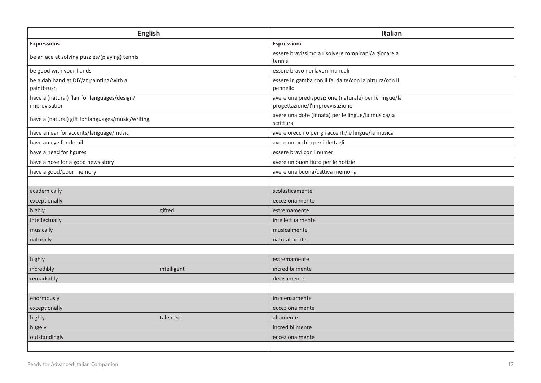| <b>English</b>                                                | Italian                                                                                  |
|---------------------------------------------------------------|------------------------------------------------------------------------------------------|
| <b>Expressions</b>                                            | Espressioni                                                                              |
| be an ace at solving puzzles/(playing) tennis                 | essere bravissimo a risolvere rompicapi/a giocare a<br>tennis                            |
| be good with your hands                                       | essere bravo nei lavori manuali                                                          |
| be a dab hand at DIY/at painting/with a<br>paintbrush         | essere in gamba con il fai da te/con la pittura/con il<br>pennello                       |
| have a (natural) flair for languages/design/<br>improvisation | avere una predisposizione (naturale) per le lingue/la<br>progettazione/l'improvvisazione |
| have a (natural) gift for languages/music/writing             | avere una dote (innata) per le lingue/la musica/la<br>scrittura                          |
| have an ear for accents/language/music                        | avere orecchio per gli accenti/le lingue/la musica                                       |
| have an eye for detail                                        | avere un occhio per i dettagli                                                           |
| have a head for figures                                       | essere bravi con i numeri                                                                |
| have a nose for a good news story                             | avere un buon fiuto per le notizie                                                       |
| have a good/poor memory                                       | avere una buona/cattiva memoria                                                          |
|                                                               |                                                                                          |
| academically                                                  | scolasticamente                                                                          |
| exceptionally                                                 | eccezionalmente                                                                          |
| highly<br>gifted                                              | estremamente                                                                             |
| intellectually                                                | intellettualmente                                                                        |
| musically                                                     | musicalmente                                                                             |
| naturally                                                     | naturalmente                                                                             |
|                                                               |                                                                                          |
| highly                                                        | estremamente                                                                             |
| incredibly<br>intelligent                                     | incredibilmente                                                                          |
| remarkably                                                    | decisamente                                                                              |
|                                                               |                                                                                          |
| enormously                                                    | immensamente                                                                             |
| exceptionally                                                 | eccezionalmente                                                                          |
| highly<br>talented                                            | altamente                                                                                |
| hugely                                                        | incredibilmente                                                                          |
| outstandingly                                                 | eccezionalmente                                                                          |
|                                                               |                                                                                          |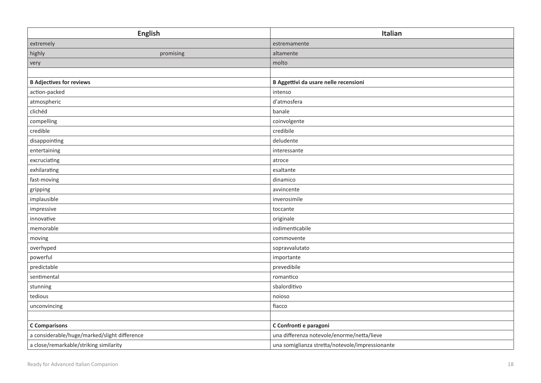| <b>English</b>                               | Italian                                         |
|----------------------------------------------|-------------------------------------------------|
| extremely                                    | estremamente                                    |
| highly<br>promising                          | altamente                                       |
| very                                         | molto                                           |
|                                              |                                                 |
| <b>B Adjectives for reviews</b>              | B Aggettivi da usare nelle recensioni           |
| action-packed                                | intenso                                         |
| atmospheric                                  | d'atmosfera                                     |
| clichéd                                      | banale                                          |
| compelling                                   | coinvolgente                                    |
| credible                                     | credibile                                       |
| disappointing                                | deludente                                       |
| entertaining                                 | interessante                                    |
| excruciating                                 | atroce                                          |
| exhilarating                                 | esaltante                                       |
| fast-moving                                  | dinamico                                        |
| gripping                                     | avvincente                                      |
| implausible                                  | inverosimile                                    |
| impressive                                   | toccante                                        |
| innovative                                   | originale                                       |
| memorable                                    | indimenticabile                                 |
| moving                                       | commovente                                      |
| overhyped                                    | sopravvalutato                                  |
| powerful                                     | importante                                      |
| predictable                                  | prevedibile                                     |
| sentimental                                  | romantico                                       |
| stunning                                     | sbalorditivo                                    |
| tedious                                      | noioso                                          |
| unconvincing                                 | fiacco                                          |
|                                              |                                                 |
| <b>C</b> Comparisons                         | C Confronti e paragoni                          |
| a considerable/huge/marked/slight difference | una differenza notevole/enorme/netta/lieve      |
| a close/remarkable/striking similarity       | una somiglianza stretta/notevole/impressionante |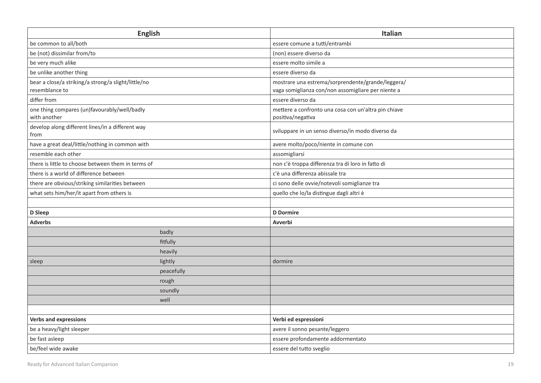| <b>English</b>                                                        |            | <b>Italian</b>                                                                                          |
|-----------------------------------------------------------------------|------------|---------------------------------------------------------------------------------------------------------|
| be common to all/both                                                 |            | essere comune a tutti/entrambi                                                                          |
| be (not) dissimilar from/to                                           |            | (non) essere diverso da                                                                                 |
| be very much alike                                                    |            | essere molto simile a                                                                                   |
| be unlike another thing                                               |            | essere diverso da                                                                                       |
| bear a close/a striking/a strong/a slight/little/no<br>resemblance to |            | mostrare una estrema/sorprendente/grande/leggera/<br>vaga somiglianza con/non assomigliare per niente a |
| differ from                                                           |            | essere diverso da                                                                                       |
| one thing compares (un)favourably/well/badly<br>with another          |            | mettere a confronto una cosa con un'altra pin chiave<br>positiva/negativa                               |
| develop along different lines/in a different way<br>from              |            | sviluppare in un senso diverso/in modo diverso da                                                       |
| have a great deal/little/nothing in common with                       |            | avere molto/poco/niente in comune con                                                                   |
| resemble each other                                                   |            | assomigliarsi                                                                                           |
| there is little to choose between them in terms of                    |            | non c'è troppa differenza tra di loro in fatto di                                                       |
| there is a world of difference between                                |            | c'è una differenza abissale tra                                                                         |
| there are obvious/striking similarities between                       |            | ci sono delle ovvie/notevoli somiglianze tra                                                            |
| what sets him/her/it apart from others is                             |            | quello che lo/la distingue dagli altri è                                                                |
|                                                                       |            |                                                                                                         |
| D Sleep                                                               |            | <b>D</b> Dormire                                                                                        |
| <b>Adverbs</b>                                                        |            | Avverbi                                                                                                 |
|                                                                       | badly      |                                                                                                         |
|                                                                       | fitfully   |                                                                                                         |
|                                                                       | heavily    |                                                                                                         |
| sleep                                                                 | lightly    | dormire                                                                                                 |
|                                                                       | peacefully |                                                                                                         |
|                                                                       | rough      |                                                                                                         |
|                                                                       | soundly    |                                                                                                         |
|                                                                       | well       |                                                                                                         |
|                                                                       |            |                                                                                                         |
| <b>Verbs and expressions</b>                                          |            | Verbi ed espressioni                                                                                    |
| be a heavy/light sleeper                                              |            | avere il sonno pesante/leggero                                                                          |
| be fast asleep                                                        |            | essere profondamente addormentato                                                                       |
| be/feel wide awake                                                    |            | essere del tutto sveglio                                                                                |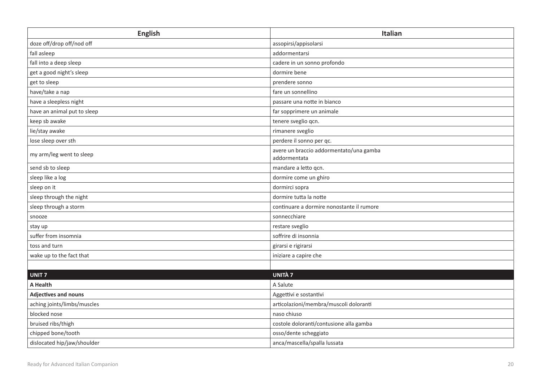| <b>English</b>              | <b>Italian</b>                                          |
|-----------------------------|---------------------------------------------------------|
| doze off/drop off/nod off   | assopirsi/appisolarsi                                   |
| fall asleep                 | addormentarsi                                           |
| fall into a deep sleep      | cadere in un sonno profondo                             |
| get a good night's sleep    | dormire bene                                            |
| get to sleep                | prendere sonno                                          |
| have/take a nap             | fare un sonnellino                                      |
| have a sleepless night      | passare una notte in bianco                             |
| have an animal put to sleep | far sopprimere un animale                               |
| keep sb awake               | tenere sveglio qcn.                                     |
| lie/stay awake              | rimanere sveglio                                        |
| lose sleep over sth         | perdere il sonno per qc.                                |
| my arm/leg went to sleep    | avere un braccio addormentato/una gamba<br>addormentata |
| send sb to sleep            | mandare a letto qcn.                                    |
| sleep like a log            | dormire come un ghiro                                   |
| sleep on it                 | dormirci sopra                                          |
| sleep through the night     | dormire tutta la notte                                  |
| sleep through a storm       | continuare a dormire nonostante il rumore               |
| snooze                      | sonnecchiare                                            |
| stay up                     | restare sveglio                                         |
| suffer from insomnia        | soffrire di insonnia                                    |
| toss and turn               | girarsi e rigirarsi                                     |
| wake up to the fact that    | iniziare a capire che                                   |
|                             |                                                         |
| UNIT <sub>7</sub>           | <b>UNITÀ 7</b>                                          |
| A Health                    | A Salute                                                |
| <b>Adjectives and nouns</b> | Aggettivi e sostantivi                                  |
| aching joints/limbs/muscles | articolazioni/membra/muscoli doloranti                  |
| blocked nose                | naso chiuso                                             |
| bruised ribs/thigh          | costole doloranti/contusione alla gamba                 |
| chipped bone/tooth          | osso/dente scheggiato                                   |
| dislocated hip/jaw/shoulder | anca/mascella/spalla lussata                            |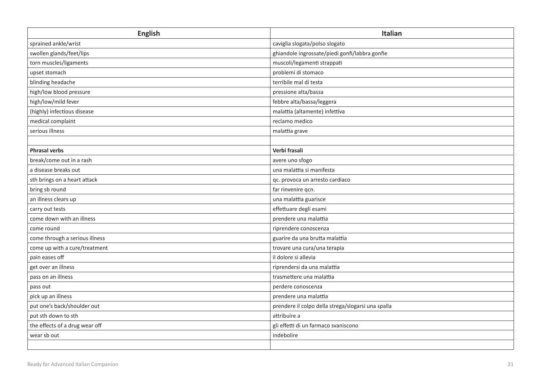| English                        | Italian                                            |
|--------------------------------|----------------------------------------------------|
| sprained ankle/wrist           | caviglia slogata/polso slogato                     |
| swollen glands/feet/lips       | ghiandole ingrossate/piedi gonfi/labbra gonfie     |
| torn muscles/ligaments         | muscoli/legamenti strappati                        |
| upset stomach                  | problemi di stomaco                                |
| blinding headache              | terribile mal di testa                             |
| high/low blood pressure        | pressione alta/bassa                               |
| high/low/mild fever            | febbre alta/bassa/leggera                          |
| (highly) infectious disease    | malattia (altamente) infettiva                     |
| medical complaint              | reclamo medico                                     |
| serious illness                | malattia grave                                     |
|                                |                                                    |
| <b>Phrasal verbs</b>           | Verbi frasali                                      |
| break/come out in a rash       | avere uno sfogo                                    |
| a disease breaks out           | una malattia si manifesta                          |
| sth brings on a heart attack   | qc. provoca un arresto cardiaco                    |
| bring sb round                 | far rinvenire qcn.                                 |
| an illness clears up           | una malattia guarisce                              |
| carry out tests                | effettuare degli esami                             |
| come down with an illness      | prendere una malattia                              |
| come round                     | riprendere conoscenza                              |
| come through a serious illness | guarire da una brutta malattia                     |
| come up with a cure/treatment  | trovare una cura/una terapia                       |
| pain eases off                 | il dolore si allevia                               |
| get over an illness            | riprendersi da una malattia                        |
| pass on an illness             | trasmettere una malattia                           |
| pass out                       | perdere conoscenza                                 |
| pick up an illness             | prendere una malattia                              |
| put one's back/shoulder out    | prendere il colpo della strega/slogarsi una spalla |
| put sth down to sth            | attribuire a                                       |
| the effects of a drug wear off | gli effetti di un farmaco svaniscono               |
| wear sb out                    | indebolire                                         |
|                                |                                                    |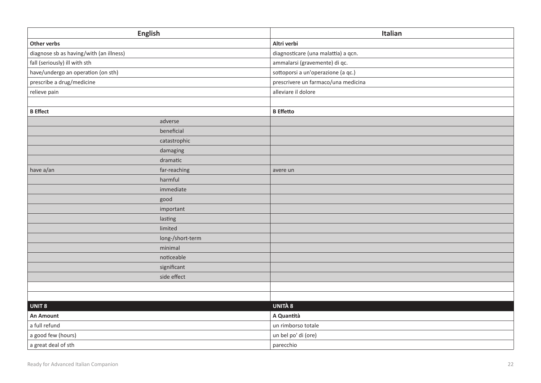|                                         | <b>English</b>   | Italian                             |
|-----------------------------------------|------------------|-------------------------------------|
| Other verbs                             |                  | Altri verbi                         |
| diagnose sb as having/with (an illness) |                  | diagnosticare (una malattia) a qcn. |
| fall (seriously) ill with sth           |                  | ammalarsi (gravemente) di qc.       |
| have/undergo an operation (on sth)      |                  | sottoporsi a un'operazione (a qc.)  |
| prescribe a drug/medicine               |                  | prescrivere un farmaco/una medicina |
| relieve pain                            |                  | alleviare il dolore                 |
|                                         |                  |                                     |
| <b>B</b> Effect                         |                  | <b>B</b> Effetto                    |
|                                         | adverse          |                                     |
|                                         | beneficial       |                                     |
|                                         | catastrophic     |                                     |
|                                         | damaging         |                                     |
|                                         | dramatic         |                                     |
| have a/an                               | far-reaching     | avere un                            |
|                                         | harmful          |                                     |
|                                         | immediate        |                                     |
|                                         | good             |                                     |
|                                         | important        |                                     |
|                                         | lasting          |                                     |
|                                         | limited          |                                     |
|                                         | long-/short-term |                                     |
|                                         | minimal          |                                     |
|                                         | noticeable       |                                     |
|                                         | significant      |                                     |
|                                         | side effect      |                                     |
|                                         |                  |                                     |
|                                         |                  |                                     |
| UNIT 8                                  |                  | <b>UNITÀ 8</b>                      |
| <b>An Amount</b>                        |                  | A Quantità                          |
| a full refund                           |                  | un rimborso totale                  |
| a good few (hours)                      |                  | un bel po' di (ore)                 |
| a great deal of sth                     |                  | parecchio                           |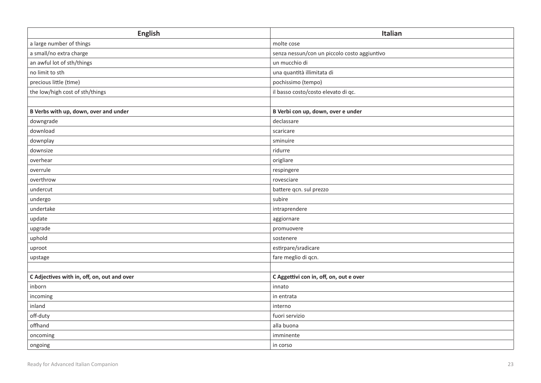| <b>English</b>                              | Italian                                      |
|---------------------------------------------|----------------------------------------------|
| a large number of things                    | molte cose                                   |
| a small/no extra charge                     | senza nessun/con un piccolo costo aggiuntivo |
| an awful lot of sth/things                  | un mucchio di                                |
| no limit to sth                             | una quantità illimitata di                   |
| precious little (time)                      | pochissimo (tempo)                           |
| the low/high cost of sth/things             | il basso costo/costo elevato di qc.          |
|                                             |                                              |
| B Verbs with up, down, over and under       | B Verbi con up, down, over e under           |
| downgrade                                   | declassare                                   |
| download                                    | scaricare                                    |
| downplay                                    | sminuire                                     |
| downsize                                    | ridurre                                      |
| overhear                                    | origliare                                    |
| overrule                                    | respingere                                   |
| overthrow                                   | rovesciare                                   |
| undercut                                    | battere qcn. sul prezzo                      |
| undergo                                     | subire                                       |
| undertake                                   | intraprendere                                |
| update                                      | aggiornare                                   |
| upgrade                                     | promuovere                                   |
| uphold                                      | sostenere                                    |
| uproot                                      | estirpare/sradicare                          |
| upstage                                     | fare meglio di qcn.                          |
|                                             |                                              |
| C Adjectives with in, off, on, out and over | C Aggettivi con in, off, on, out e over      |
| inborn                                      | innato                                       |
| incoming                                    | in entrata                                   |
| inland                                      | interno                                      |
| off-duty                                    | fuori servizio                               |
| offhand                                     | alla buona                                   |
| oncoming                                    | imminente                                    |
| ongoing                                     | in corso                                     |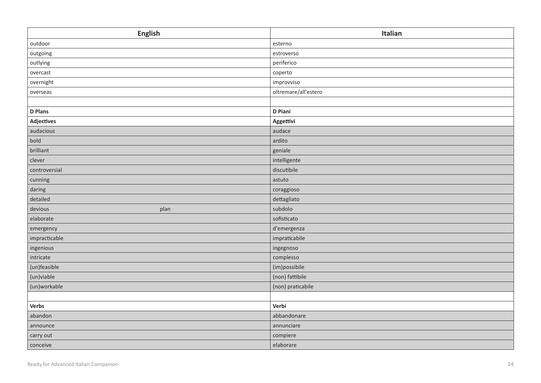| <b>English</b>    | Italian              |
|-------------------|----------------------|
| outdoor           | esterno              |
| outgoing          | estroverso           |
| outlying          | periferico           |
| overcast          | coperto              |
| overnight         | improvviso           |
| overseas          | oltremare/all'estero |
|                   |                      |
| <b>D</b> Plans    | D Piani              |
| <b>Adjectives</b> | Aggettivi            |
| audacious         | audace               |
| bold              | ardito               |
| brilliant         | geniale              |
| clever            | intelligente         |
| controversial     | discutibile          |
| cunning           | astuto               |
| daring            | coraggioso           |
| detailed          | dettagliato          |
| devious<br>plan   | subdolo              |
| elaborate         | sofisticato          |
| emergency         | d'emergenza          |
| impracticable     | impraticabile        |
| ingenious         | ingegnoso            |
| intricate         | complesso            |
| (un)feasible      | (im)possibile        |
| (un)viable        | (non) fattibile      |
| (un)workable      | (non) praticabile    |
|                   |                      |
| Verbs             | Verbi                |
| abandon           | abbandonare          |
| announce          | annunciare           |
| carry out         | compiere             |
| conceive          | elaborare            |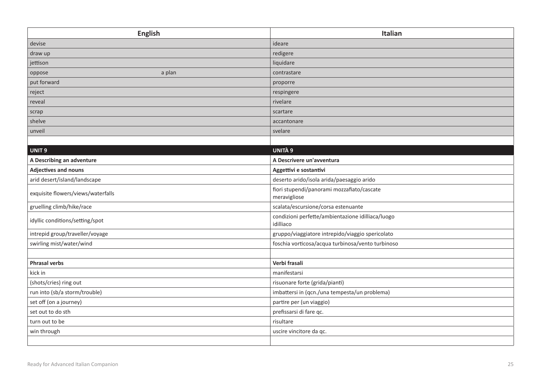| <b>English</b>                     | Italian                                                        |
|------------------------------------|----------------------------------------------------------------|
| devise                             | ideare                                                         |
| draw up                            | redigere                                                       |
| jettison                           | liquidare                                                      |
| a plan<br>oppose                   | contrastare                                                    |
| put forward                        | proporre                                                       |
| reject                             | respingere                                                     |
| reveal                             | rivelare                                                       |
| scrap                              | scartare                                                       |
| shelve                             | accantonare                                                    |
| unveil                             | svelare                                                        |
|                                    |                                                                |
| UNIT <sub>9</sub>                  | <b>UNITÀ 9</b>                                                 |
| A Describing an adventure          | A Descrivere un'avventura                                      |
| <b>Adjectives and nouns</b>        | Aggettivi e sostantivi                                         |
| arid desert/island/landscape       | deserto arido/isola arida/paesaggio arido                      |
| exquisite flowers/views/waterfalls | fiori stupendi/panorami mozzafiato/cascate<br>meravigliose     |
| gruelling climb/hike/race          | scalata/escursione/corsa estenuante                            |
| idyllic conditions/setting/spot    | condizioni perfette/ambientazione idilliaca/luogo<br>idilliaco |
| intrepid group/traveller/voyage    | gruppo/viaggiatore intrepido/viaggio spericolato               |
| swirling mist/water/wind           | foschia vorticosa/acqua turbinosa/vento turbinoso              |
|                                    |                                                                |
| <b>Phrasal verbs</b>               | Verbi frasali                                                  |
| kick in                            | manifestarsi                                                   |
| (shots/cries) ring out             | risuonare forte (grida/pianti)                                 |
| run into (sb/a storm/trouble)      | imbattersi in (qcn./una tempesta/un problema)                  |
| set off (on a journey)             | partire per (un viaggio)                                       |
| set out to do sth                  | prefissarsi di fare qc.                                        |
| turn out to be                     | risultare                                                      |
| win through                        | uscire vincitore da qc.                                        |
|                                    |                                                                |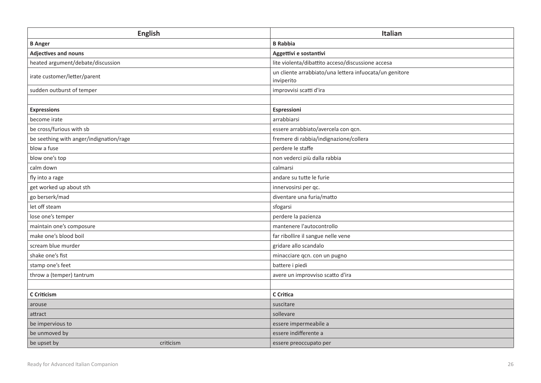| <b>English</b>                          | <b>Italian</b>                                                        |
|-----------------------------------------|-----------------------------------------------------------------------|
| <b>B</b> Anger                          | <b>B</b> Rabbia                                                       |
| Adjectives and nouns                    | Aggettivi e sostantivi                                                |
| heated argument/debate/discussion       | lite violenta/dibattito acceso/discussione accesa                     |
| irate customer/letter/parent            | un cliente arrabbiato/una lettera infuocata/un genitore<br>inviperito |
| sudden outburst of temper               | improvvisi scatti d'ira                                               |
|                                         |                                                                       |
| <b>Expressions</b>                      | Espressioni                                                           |
| become irate                            | arrabbiarsi                                                           |
| be cross/furious with sb                | essere arrabbiato/avercela con qcn.                                   |
| be seething with anger/indignation/rage | fremere di rabbia/indignazione/collera                                |
| blow a fuse                             | perdere le staffe                                                     |
| blow one's top                          | non vederci più dalla rabbia                                          |
| calm down                               | calmarsi                                                              |
| fly into a rage                         | andare su tutte le furie                                              |
| get worked up about sth                 | innervosirsi per qc.                                                  |
| go berserk/mad                          | diventare una furia/matto                                             |
| let off steam                           | sfogarsi                                                              |
| lose one's temper                       | perdere la pazienza                                                   |
| maintain one's composure                | mantenere l'autocontrollo                                             |
| make one's blood boil                   | far ribollire il sangue nelle vene                                    |
| scream blue murder                      | gridare allo scandalo                                                 |
| shake one's fist                        | minacciare qcn. con un pugno                                          |
| stamp one's feet                        | battere i piedi                                                       |
| throw a (temper) tantrum                | avere un improvviso scatto d'ira                                      |
|                                         |                                                                       |
| C Criticism                             | C Critica                                                             |
| arouse                                  | suscitare                                                             |
| attract                                 | sollevare                                                             |
| be impervious to                        | essere impermeabile a                                                 |
| be unmoved by                           | essere indifferente a                                                 |
| be upset by<br>criticism                | essere preoccupato per                                                |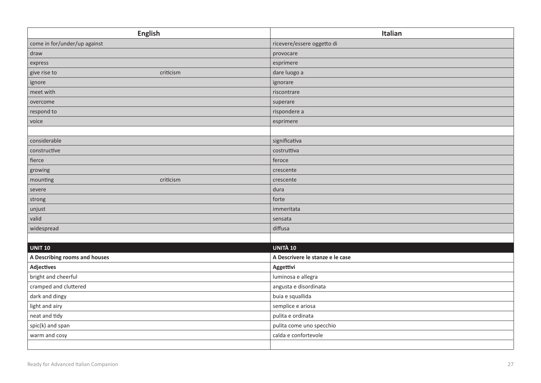| <b>English</b>                | Italian                          |
|-------------------------------|----------------------------------|
| come in for/under/up against  | ricevere/essere oggetto di       |
| draw                          | provocare                        |
| express                       | esprimere                        |
| criticism<br>give rise to     | dare luogo a                     |
| ignore                        | ignorare                         |
| meet with                     | riscontrare                      |
| overcome                      | superare                         |
| respond to                    | rispondere a                     |
| voice                         | esprimere                        |
|                               |                                  |
| considerable                  | significativa                    |
| constructive                  | costruttiva                      |
| fierce                        | feroce                           |
| growing                       | crescente                        |
| mounting<br>criticism         | crescente                        |
| severe                        | dura                             |
| strong                        | forte                            |
| unjust                        | immeritata                       |
| valid                         | sensata                          |
| widespread                    | diffusa                          |
|                               |                                  |
| <b>UNIT 10</b>                | UNITÀ 10                         |
| A Describing rooms and houses | A Descrivere le stanze e le case |
| <b>Adjectives</b>             | Aggettivi                        |
| bright and cheerful           | luminosa e allegra               |
| cramped and cluttered         | angusta e disordinata            |
| dark and dingy                | buia e squallida                 |
| light and airy                | semplice e ariosa                |
| neat and tidy                 | pulita e ordinata                |
| spic(k) and span              | pulita come uno specchio         |
| warm and cosy                 | calda e confortevole             |
|                               |                                  |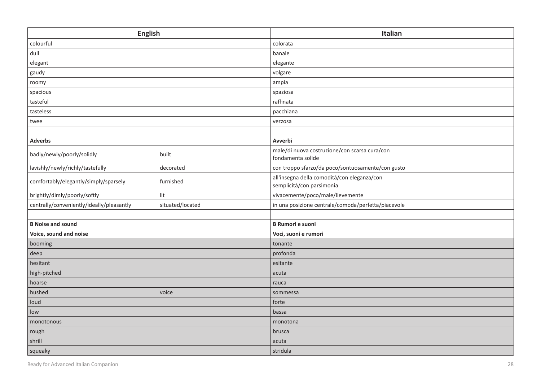| <b>English</b>                                                | Italian                                                                  |
|---------------------------------------------------------------|--------------------------------------------------------------------------|
| colourful                                                     | colorata                                                                 |
| dull                                                          | banale                                                                   |
| elegant                                                       | elegante                                                                 |
| gaudy                                                         | volgare                                                                  |
| roomy                                                         | ampia                                                                    |
| spacious                                                      | spaziosa                                                                 |
| tasteful                                                      | raffinata                                                                |
| tasteless                                                     | pacchiana                                                                |
| twee                                                          | vezzosa                                                                  |
|                                                               |                                                                          |
| <b>Adverbs</b>                                                | Avverbi                                                                  |
| badly/newly/poorly/solidly<br>built                           | male/di nuova costruzione/con scarsa cura/con<br>fondamenta solide       |
| lavishly/newly/richly/tastefully<br>decorated                 | con troppo sfarzo/da poco/sontuosamente/con gusto                        |
| comfortably/elegantly/simply/sparsely<br>furnished            | all'insegna della comodità/con eleganza/con<br>semplicità/con parsimonia |
| brightly/dimly/poorly/softly<br>lit                           | vivacemente/poco/male/lievemente                                         |
| centrally/conveniently/ideally/pleasantly<br>situated/located | in una posizione centrale/comoda/perfetta/piacevole                      |
|                                                               |                                                                          |
| <b>B Noise and sound</b>                                      | <b>B Rumori e suoni</b>                                                  |
| Voice, sound and noise                                        | Voci, suoni e rumori                                                     |
| booming                                                       | tonante                                                                  |
| deep                                                          | profonda                                                                 |
| hesitant                                                      | esitante                                                                 |
| high-pitched                                                  | acuta                                                                    |
| hoarse                                                        | rauca                                                                    |
| hushed<br>voice                                               | sommessa                                                                 |
| loud                                                          | forte                                                                    |
| low                                                           | bassa                                                                    |
| monotonous                                                    | monotona                                                                 |
| rough                                                         | brusca                                                                   |
| shrill                                                        | acuta                                                                    |
| squeaky                                                       | stridula                                                                 |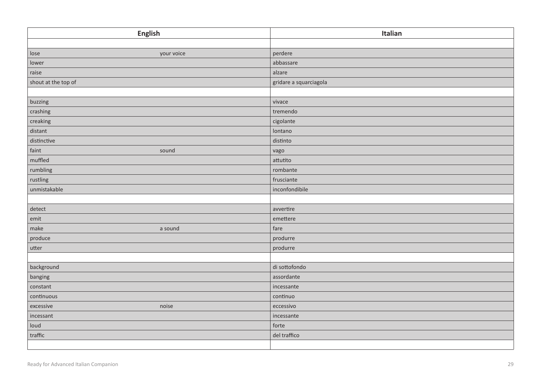| <b>English</b>      | Italian                |
|---------------------|------------------------|
|                     |                        |
| lose<br>your voice  | perdere                |
| lower               | abbassare              |
| raise               | alzare                 |
| shout at the top of | gridare a squarciagola |
|                     |                        |
| buzzing             | vivace                 |
| crashing            | tremendo               |
| creaking            | cigolante              |
| distant             | lontano                |
| distinctive         | distinto               |
| faint<br>sound      | vago                   |
| muffled             | attutito               |
| rumbling            | rombante               |
| rustling            | frusciante             |
| unmistakable        | inconfondibile         |
|                     |                        |
| detect              | avvertire              |
| $\mathsf{emit}$     | emettere               |
| make<br>a sound     | fare                   |
| produce             | produrre               |
| utter               | produrre               |
|                     |                        |
| background          | di sottofondo          |
| banging             | assordante             |
| constant            | incessante             |
| continuous          | continuo               |
| noise<br>excessive  | eccessivo              |
| incessant           | incessante             |
| loud                | forte                  |
| traffic             | del traffico           |
|                     |                        |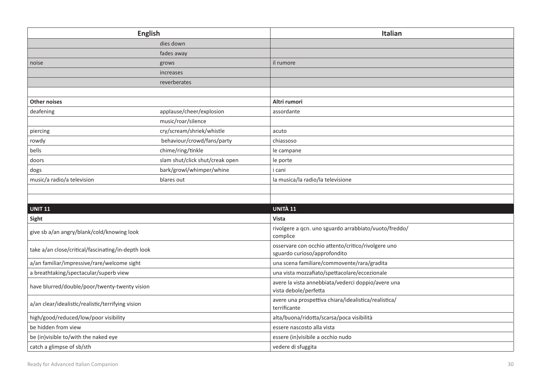| <b>English</b>                                     |                                 | Italian                                                                     |
|----------------------------------------------------|---------------------------------|-----------------------------------------------------------------------------|
|                                                    | dies down                       |                                                                             |
|                                                    | fades away                      |                                                                             |
| noise                                              | grows                           | il rumore                                                                   |
|                                                    | increases                       |                                                                             |
|                                                    | reverberates                    |                                                                             |
|                                                    |                                 |                                                                             |
| <b>Other noises</b>                                |                                 | Altri rumori                                                                |
| deafening                                          | applause/cheer/explosion        | assordante                                                                  |
|                                                    | music/roar/silence              |                                                                             |
| piercing                                           | cry/scream/shriek/whistle       | acuto                                                                       |
| rowdy                                              | behaviour/crowd/fans/party      | chiassoso                                                                   |
| bells                                              | chime/ring/tinkle               | le campane                                                                  |
| doors                                              | slam shut/click shut/creak open | le porte                                                                    |
| dogs                                               | bark/growl/whimper/whine        | i cani                                                                      |
| music/a radio/a television                         | blares out                      | la musica/la radio/la televisione                                           |
|                                                    |                                 |                                                                             |
|                                                    |                                 |                                                                             |
| <b>UNIT 11</b>                                     |                                 | UNITÀ 11                                                                    |
| Sight                                              |                                 | <b>Vista</b>                                                                |
| give sb a/an angry/blank/cold/knowing look         |                                 | rivolgere a qcn. uno sguardo arrabbiato/vuoto/freddo/                       |
|                                                    |                                 | complice                                                                    |
| take a/an close/critical/fascinating/in-depth look |                                 | osservare con occhio attento/critico/rivolgere uno                          |
| a/an familiar/impressive/rare/welcome sight        |                                 | sguardo curioso/approfondito<br>una scena familiare/commovente/rara/gradita |
| a breathtaking/spectacular/superb view             |                                 | una vista mozzafiato/spettacolare/eccezionale                               |
|                                                    |                                 | avere la vista annebbiata/vederci doppio/avere una                          |
| have blurred/double/poor/twenty-twenty vision      |                                 | vista debole/perfetta                                                       |
| a/an clear/idealistic/realistic/terrifying vision  |                                 | avere una prospettiva chiara/idealistica/realistica/<br>terrificante        |
| high/good/reduced/low/poor visibility              |                                 | alta/buona/ridotta/scarsa/poca visibilità                                   |
| be hidden from view                                |                                 | essere nascosto alla vista                                                  |
| be (in) visible to/with the naked eye              |                                 | essere (in)visibile a occhio nudo                                           |
| catch a glimpse of sb/sth                          |                                 | vedere di sfuggita                                                          |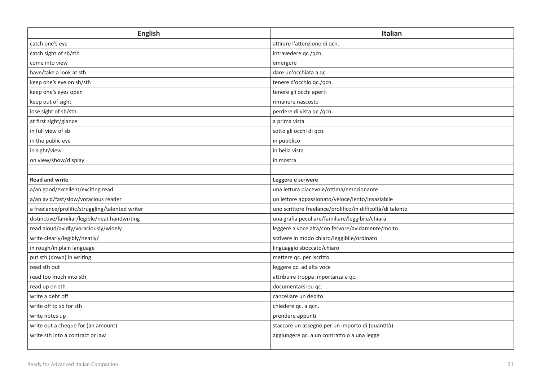| <b>English</b>                                  | <b>Italian</b>                                             |
|-------------------------------------------------|------------------------------------------------------------|
| catch one's eye                                 | attirare l'attenzione di gcn.                              |
| catch sight of sb/sth                           | intravedere qc./qcn.                                       |
| come into view                                  | emergere                                                   |
| have/take a look at sth                         | dare un'occhiata a qc.                                     |
| keep one's eye on sb/sth                        | tenere d'occhio qc./qcn.                                   |
| keep one's eyes open                            | tenere gli occhi aperti                                    |
| keep out of sight                               | rimanere nascosto                                          |
| lose sight of sb/sth                            | perdere di vista qc./qcn.                                  |
| at first sight/glance                           | a prima vista                                              |
| in full view of sb                              | sotto gli occhi di qcn.                                    |
| in the public eye                               | in pubblico                                                |
| in sight/view                                   | in bella vista                                             |
| on view/show/display                            | in mostra                                                  |
|                                                 |                                                            |
| <b>Read and write</b>                           | Leggere e scrivere                                         |
| a/an good/excellent/exciting read               | una lettura piacevole/ottima/emozionante                   |
| a/an avid/fast/slow/voracious reader            | un lettore appassionato/veloce/lento/insaziabile           |
| a freelance/prolific/struggling/talented writer | uno scrittore freelance/prolifico/in difficoltà/di talento |
| distinctive/familiar/legible/neat handwriting   | una grafia peculiare/familiare/leggibile/chiara            |
| read aloud/avidly/voraciously/widely            | leggere a voce alta/con fervore/avidamente/molto           |
| write clearly/legibly/neatly/                   | scrivere in modo chiaro/leggibile/ordinato                 |
| in rough/in plain language                      | linguaggio sboccato/chiaro                                 |
| put sth (down) in writing                       | mettere qc. per iscritto                                   |
| read sth out                                    | leggere qc. ad alta voce                                   |
| read too much into sth                          | attribuire troppa importanza a qc.                         |
| read up on sth                                  | documentarsi su qc.                                        |
| write a debt off                                | cancellare un debito                                       |
| write off to sb for sth                         | chiedere qc. a qcn.                                        |
| write notes up                                  | prendere appunti                                           |
| write out a cheque for (an amount)              | staccare un assegno per un importo di (quantità)           |
| write sth into a contract or law                | aggiungere qc. a un contratto o a una legge                |
|                                                 |                                                            |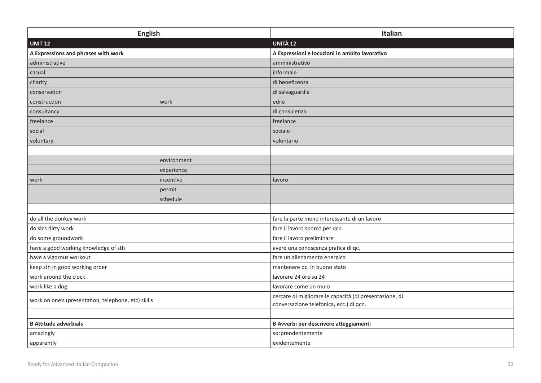| English                                             | Italian                                                                                            |
|-----------------------------------------------------|----------------------------------------------------------------------------------------------------|
| <b>UNIT 12</b>                                      | <b>UNITÀ 12</b>                                                                                    |
| A Expressions and phrases with work                 | A Espressioni e locuzioni in ambito lavorativo                                                     |
| administrative                                      | amministrativo                                                                                     |
| casual                                              | informale                                                                                          |
| charity                                             | di beneficenza                                                                                     |
| conservation                                        | di salvaguardia                                                                                    |
| construction<br>work                                | edile                                                                                              |
| consultancy                                         | di consulenza                                                                                      |
| freelance                                           | freelance                                                                                          |
| social                                              | sociale                                                                                            |
| voluntary                                           | volontario                                                                                         |
|                                                     |                                                                                                    |
| environment                                         |                                                                                                    |
| experience                                          |                                                                                                    |
| incentive<br>work                                   | lavoro                                                                                             |
| permit                                              |                                                                                                    |
| schedule                                            |                                                                                                    |
|                                                     |                                                                                                    |
| do all the donkey work                              | fare la parte meno interessante di un lavoro                                                       |
| do sb's dirty work                                  | fare il lavoro sporco per qcn.                                                                     |
| do some groundwork                                  | fare il lavoro preliminare                                                                         |
| have a good working knowledge of sth                | avere una conoscenza pratica di qc.                                                                |
| have a vigorous workout                             | fare un allenamento energico                                                                       |
| keep sth in good working order                      | mantenere qc. in buono stato                                                                       |
| work around the clock                               | lavorare 24 ore su 24                                                                              |
| work like a dog                                     | lavorare come un mulo                                                                              |
| work on one's (presentation, telephone, etc) skills | cercare di migliorare le capacità (di presentazione, di<br>conversazione telefonica, ecc.) di qcn. |
|                                                     |                                                                                                    |
| <b>B Attitude adverbials</b>                        | B Avverbi per descrivere atteggiamenti                                                             |
| amazingly                                           | sorprendentemente                                                                                  |
| apparently                                          | evidentemente                                                                                      |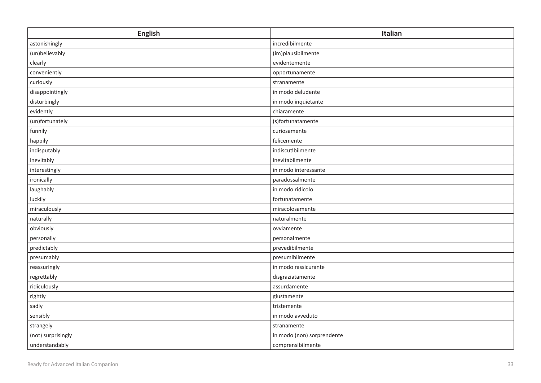| <b>English</b>     | Italian                    |
|--------------------|----------------------------|
| astonishingly      | incredibilmente            |
| (un)believably     | (im)plausibilmente         |
| clearly            | evidentemente              |
| conveniently       | opportunamente             |
| curiously          | stranamente                |
| disappointingly    | in modo deludente          |
| disturbingly       | in modo inquietante        |
| evidently          | chiaramente                |
| (un)fortunately    | (s)fortunatamente          |
| funnily            | curiosamente               |
| happily            | felicemente                |
| indisputably       | indiscutibilmente          |
| inevitably         | inevitabilmente            |
| interestingly      | in modo interessante       |
| ironically         | paradossalmente            |
| laughably          | in modo ridicolo           |
| luckily            | fortunatamente             |
| miraculously       | miracolosamente            |
| naturally          | naturalmente               |
| obviously          | ovviamente                 |
| personally         | personalmente              |
| predictably        | prevedibilmente            |
| presumably         | presumibilmente            |
| reassuringly       | in modo rassicurante       |
| regrettably        | disgraziatamente           |
| ridiculously       | assurdamente               |
| rightly            | giustamente                |
| sadly              | tristemente                |
| sensibly           | in modo avveduto           |
| strangely          | stranamente                |
| (not) surprisingly | in modo (non) sorprendente |
| understandably     | comprensibilmente          |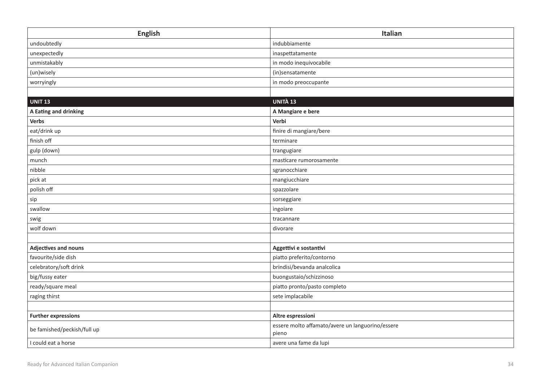| <b>English</b>              | Italian                                                   |
|-----------------------------|-----------------------------------------------------------|
| undoubtedly                 | indubbiamente                                             |
| unexpectedly                | inaspettatamente                                          |
| unmistakably                | in modo inequivocabile                                    |
| (un)wisely                  | (in)sensatamente                                          |
| worryingly                  | in modo preoccupante                                      |
|                             |                                                           |
| <b>UNIT 13</b>              | UNITÀ 13                                                  |
| A Eating and drinking       | A Mangiare e bere                                         |
| Verbs                       | Verbi                                                     |
| eat/drink up                | finire di mangiare/bere                                   |
| finish off                  | terminare                                                 |
| gulp (down)                 | trangugiare                                               |
| munch                       | masticare rumorosamente                                   |
| nibble                      | sgranocchiare                                             |
| pick at                     | mangiucchiare                                             |
| polish off                  | spazzolare                                                |
| sip                         | sorseggiare                                               |
| swallow                     | ingoiare                                                  |
| swig                        | tracannare                                                |
| wolf down                   | divorare                                                  |
|                             |                                                           |
| Adjectives and nouns        | Aggettivi e sostantivi                                    |
| favourite/side dish         | piatto preferito/contorno                                 |
| celebratory/soft drink      | brindisi/bevanda analcolica                               |
| big/fussy eater             | buongustaio/schizzinoso                                   |
| ready/square meal           | piatto pronto/pasto completo                              |
| raging thirst               | sete implacabile                                          |
|                             |                                                           |
| <b>Further expressions</b>  | Altre espressioni                                         |
| be famished/peckish/full up | essere molto affamato/avere un languorino/essere<br>pieno |
| I could eat a horse         | avere una fame da lupi                                    |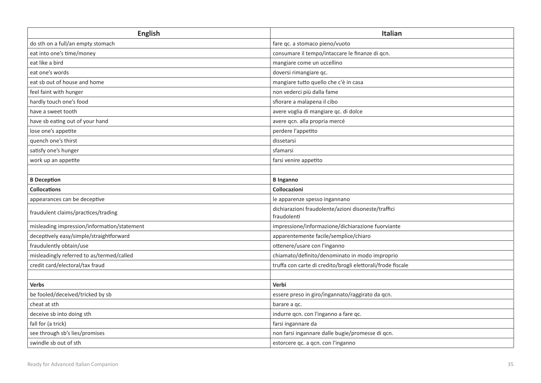| <b>English</b>                              | Italian                                                            |
|---------------------------------------------|--------------------------------------------------------------------|
| do sth on a full/an empty stomach           | fare qc. a stomaco pieno/vuoto                                     |
| eat into one's time/money                   | consumare il tempo/intaccare le finanze di qcn.                    |
| eat like a bird                             | mangiare come un uccellino                                         |
| eat one's words                             | doversi rimangiare qc.                                             |
| eat sb out of house and home                | mangiare tutto quello che c'è in casa                              |
| feel faint with hunger                      | non vederci più dalla fame                                         |
| hardly touch one's food                     | sfiorare a malapena il cibo                                        |
| have a sweet tooth                          | avere voglia di mangiare qc. di dolce                              |
| have sb eating out of your hand             | avere qcn. alla propria mercé                                      |
| lose one's appetite                         | perdere l'appetito                                                 |
| quench one's thirst                         | dissetarsi                                                         |
| satisfy one's hunger                        | sfamarsi                                                           |
| work up an appetite                         | farsi venire appetito                                              |
|                                             |                                                                    |
| <b>B</b> Deception                          | <b>B</b> Inganno                                                   |
| <b>Collocations</b>                         | Collocazioni                                                       |
| appearances can be deceptive                | le apparenze spesso ingannano                                      |
| fraudulent claims/practices/trading         | dichiarazioni fraudolente/azioni disoneste/traffici<br>fraudolenti |
| misleading impression/information/statement | impressione/informazione/dichiarazione fuorviante                  |
| deceptively easy/simple/straightforward     | apparentemente facile/semplice/chiaro                              |
| fraudulently obtain/use                     | ottenere/usare con l'inganno                                       |
| misleadingly referred to as/termed/called   | chiamato/definito/denominato in modo improprio                     |
| credit card/electoral/tax fraud             | truffa con carte di credito/brogli elettorali/frode fiscale        |
|                                             |                                                                    |
| <b>Verbs</b>                                | Verbi                                                              |
| be fooled/deceived/tricked by sb            | essere preso in giro/ingannato/raggirato da qcn.                   |
| cheat at sth                                | barare a gc.                                                       |
| deceive sb into doing sth                   | indurre qcn. con l'inganno a fare qc.                              |
| fall for (a trick)                          | farsi ingannare da                                                 |
| see through sb's lies/promises              | non farsi ingannare dalle bugie/promesse di qcn.                   |
| swindle sb out of sth                       | estorcere qc. a qcn. con l'inganno                                 |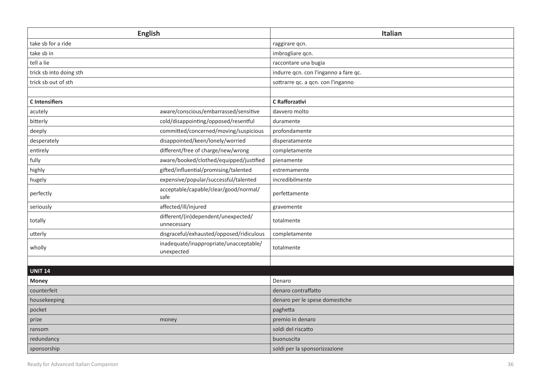| <b>English</b>          |                                                      | Italian                               |
|-------------------------|------------------------------------------------------|---------------------------------------|
| take sb for a ride      |                                                      | raggirare qcn.                        |
| take sb in              |                                                      | imbrogliare qcn.                      |
| tell a lie              |                                                      | raccontare una bugia                  |
| trick sb into doing sth |                                                      | indurre qcn. con l'inganno a fare qc. |
| trick sb out of sth     |                                                      | sottrarre qc. a qcn. con l'inganno    |
|                         |                                                      |                                       |
| <b>C</b> Intensifiers   |                                                      | C Rafforzativi                        |
| acutely                 | aware/conscious/embarrassed/sensitive                | davvero molto                         |
| bitterly                | cold/disappointing/opposed/resentful                 | duramente                             |
| deeply                  | committed/concerned/moving/suspicious                | profondamente                         |
| desperately             | disappointed/keen/lonely/worried                     | disperatamente                        |
| entirely                | different/free of charge/new/wrong                   | completamente                         |
| fully                   | aware/booked/clothed/equipped/justified              | pienamente                            |
| highly                  | gifted/influential/promising/talented                | estremamente                          |
| hugely                  | expensive/popular/successful/talented                | incredibilmente                       |
| perfectly               | acceptable/capable/clear/good/normal/<br>safe        | perfettamente                         |
| seriously               | affected/ill/injured                                 | gravemente                            |
| totally                 | different/(in)dependent/unexpected/<br>unnecessary   | totalmente                            |
| utterly                 | disgraceful/exhausted/opposed/ridiculous             | completamente                         |
| wholly                  | inadequate/inappropriate/unacceptable/<br>unexpected | totalmente                            |
|                         |                                                      |                                       |
| <b>UNIT 14</b>          |                                                      |                                       |
| <b>Money</b>            |                                                      | Denaro                                |
| counterfeit             |                                                      | denaro contraffatto                   |
| housekeeping            |                                                      | denaro per le spese domestiche        |
| pocket                  |                                                      | paghetta                              |
| prize                   | money                                                | premio in denaro                      |
| ransom                  |                                                      | soldi del riscatto                    |
| redundancy              |                                                      | buonuscita                            |
| sponsorship             |                                                      | soldi per la sponsorizzazione         |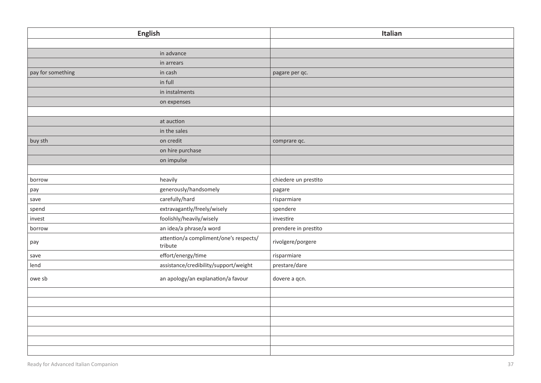| <b>English</b>    |                                                   | Italian              |
|-------------------|---------------------------------------------------|----------------------|
|                   |                                                   |                      |
|                   | in advance                                        |                      |
|                   | in arrears                                        |                      |
| pay for something | in cash                                           | pagare per qc.       |
|                   | in full                                           |                      |
|                   | in instalments                                    |                      |
|                   | on expenses                                       |                      |
|                   |                                                   |                      |
|                   | at auction                                        |                      |
|                   | in the sales                                      |                      |
| buy sth           | on credit                                         | comprare qc.         |
|                   | on hire purchase                                  |                      |
|                   | on impulse                                        |                      |
|                   |                                                   |                      |
| borrow            | heavily                                           | chiedere un prestito |
| pay               | generously/handsomely                             | pagare               |
| save              | carefully/hard                                    | risparmiare          |
| spend             | extravagantly/freely/wisely                       | spendere             |
| invest            | foolishly/heavily/wisely                          | investire            |
| borrow            | an idea/a phrase/a word                           | prendere in prestito |
| pay               | attention/a compliment/one's respects/<br>tribute | rivolgere/porgere    |
| save              | effort/energy/time                                | risparmiare          |
| lend              | assistance/credibility/support/weight             | prestare/dare        |
| owe sb            | an apology/an explanation/a favour                | dovere a qcn.        |
|                   |                                                   |                      |
|                   |                                                   |                      |
|                   |                                                   |                      |
|                   |                                                   |                      |
|                   |                                                   |                      |
|                   |                                                   |                      |
|                   |                                                   |                      |